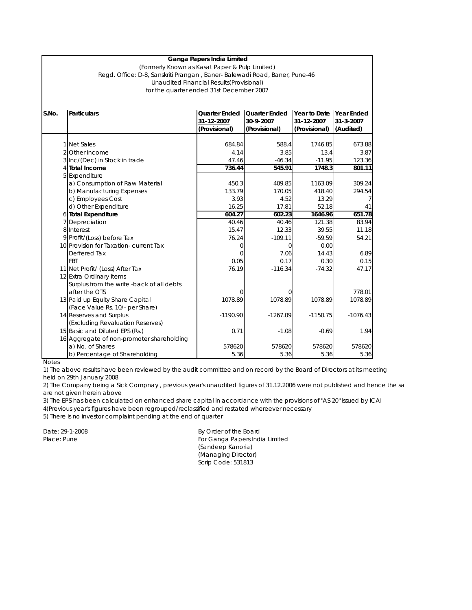## **Ganga Papers India Limited**

## for the quarter ended 31st December 2007 (Formerly Known as Kasat Paper & Pulp Limited) Regd. Office: D-8, Sanskriti Prangan , Baner- Balewadi Road, Baner, Pune-46 Unaudited Financial Results(Provisional)

| S.No. | <b>Particulars</b>                        | <b>Quarter Ended</b> | <b>Quarter Ended</b> | Year to Date  | Year Ended      |
|-------|-------------------------------------------|----------------------|----------------------|---------------|-----------------|
|       |                                           | 31-12-2007           | 30-9-2007            | 31-12-2007    | $31 - 3 - 2007$ |
|       |                                           | (Provisional)        | (Provisional)        | (Provisional) | (Audited)       |
|       |                                           |                      |                      |               |                 |
|       | 1 Net Sales                               | 684.84               | 588.4                | 1746.85       | 673.88          |
|       | 2 Other Income                            | 4.14                 | 3.85                 | 13.4          | 3.87            |
|       | 3 Inc/(Dec) in Stock in trade             | 47.46                | $-46.34$             | $-11.95$      | 123.36          |
|       | 4 Total Income                            | 736.44               | 545.91               | 1748.3        | 801.11          |
|       | 5 Expenditure                             |                      |                      |               |                 |
|       | a) Consumption of Raw Material            | 450.3                | 409.85               | 1163.09       | 309.24          |
|       | b) Manufacturing Expenses                 | 133.79               | 170.05               | 418.40        | 294.54          |
|       | c) Employees Cost                         | 3.93                 | 4.52                 | 13.29         |                 |
|       | d) Other Expenditure                      | 16.25                | 17.81                | 52.18         | 41              |
|       | 6 Total Expenditure                       | 604.27               | 602.23               | 1646.96       | 651.78          |
|       | 7 Depreciation                            | 40.46                | 40.46                | 121.38        | 83.94           |
|       | 8 Interest                                | 15.47                | 12.33                | 39.55         | 11.18           |
|       | 9 Profit/(Loss) before Tax                | 76.24                | $-109.11$            | $-59.59$      | 54.21           |
|       | 10 Provision for Taxation- current Tax    | $\Omega$             | $\Omega$             | 0.00          |                 |
|       | Deffered Tax                              | $\Omega$             | 7.06                 | 14.43         | 6.89            |
|       | <b>FBT</b>                                | 0.05                 | 0.17                 | 0.30          | 0.15            |
|       | 11 Net Profit/ (Loss) After Tax           | 76.19                | $-116.34$            | $-74.32$      | 47.17           |
|       | 12 Extra Ordinary Items                   |                      |                      |               |                 |
|       | Surplus from the write -back of all debts |                      |                      |               |                 |
|       | after the OTS                             | $\Omega$             |                      |               | 778.01          |
|       | 13 Paid up Equity Share Capital           | 1078.89              | 1078.89              | 1078.89       | 1078.89         |
|       | (Face Value Rs. 10/- per Share)           |                      |                      |               |                 |
|       | 14 Reserves and Surplus                   | $-1190.90$           | $-1267.09$           | $-1150.75$    | $-1076.43$      |
|       | (Excluding Revaluation Reserves)          |                      |                      |               |                 |
|       | 15 Basic and Diluted EPS (Rs.)            | 0.71                 | $-1.08$              | $-0.69$       | 1.94            |
|       | 16 Aggregate of non-promoter shareholding |                      |                      |               |                 |
|       | a) No. of Shares                          | 578620               | 578620               | 578620        | 578620          |
|       | b) Percentage of Shareholding             | 5.36                 | 5.36                 | 5.36          | 5.36            |

## Notes

1) The above results have been reviewed by the audit committee and on record by the Board of Directors at its meeting held on 29th January 2008

2) The Company being a Sick Compnay , previous year's unaudited figures of 31.12.2006 were not published and hence the sa are not given herein above

3) The EPS has been calculated on enhanced share capital in accordance with the provisions of "AS 20" issued by ICAI 4)Previous year's figures have been regrouped/reclassified and restated whereever necessary

5) There is no investor complaint pending at the end of quarter

Date: 29-1-2008 By Order of the Board Place: Pune For Ganga Papers India Limited (Sandeep Kanoria) (Managing Director) Scrip Code: 531813